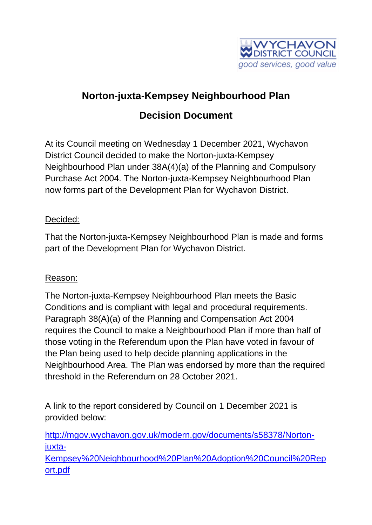

## **Norton-juxta-Kempsey Neighbourhood Plan Decision Document**

At its Council meeting on Wednesday 1 December 2021, Wychavon District Council decided to make the Norton-juxta-Kempsey Neighbourhood Plan under 38A(4)(a) of the Planning and Compulsory Purchase Act 2004. The Norton-juxta-Kempsey Neighbourhood Plan now forms part of the Development Plan for Wychavon District.

## Decided:

That the Norton-juxta-Kempsey Neighbourhood Plan is made and forms part of the Development Plan for Wychavon District.

## Reason:

The Norton-juxta-Kempsey Neighbourhood Plan meets the Basic Conditions and is compliant with legal and procedural requirements. Paragraph 38(A)(a) of the Planning and Compensation Act 2004 requires the Council to make a Neighbourhood Plan if more than half of those voting in the Referendum upon the Plan have voted in favour of the Plan being used to help decide planning applications in the Neighbourhood Area. The Plan was endorsed by more than the required threshold in the Referendum on 28 October 2021.

A link to the report considered by Council on 1 December 2021 is provided below:

[http://mgov.wychavon.gov.uk/modern.gov/documents/s58378/Norton](http://mgov.wychavon.gov.uk/modern.gov/documents/s58378/Norton-juxta-Kempsey%20Neighbourhood%20Plan%20Adoption%20Council%20Report.pdf)[juxta-](http://mgov.wychavon.gov.uk/modern.gov/documents/s58378/Norton-juxta-Kempsey%20Neighbourhood%20Plan%20Adoption%20Council%20Report.pdf)

[Kempsey%20Neighbourhood%20Plan%20Adoption%20Council%20Rep](http://mgov.wychavon.gov.uk/modern.gov/documents/s58378/Norton-juxta-Kempsey%20Neighbourhood%20Plan%20Adoption%20Council%20Report.pdf) [ort.pdf](http://mgov.wychavon.gov.uk/modern.gov/documents/s58378/Norton-juxta-Kempsey%20Neighbourhood%20Plan%20Adoption%20Council%20Report.pdf)